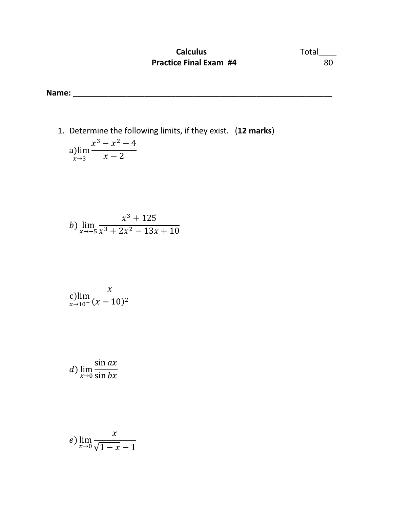## **Calculus** Total\_\_\_\_ **Practice Final Exam #4** 80

**Name: \_\_\_\_\_\_\_\_\_\_\_\_\_\_\_\_\_\_\_\_\_\_\_\_\_\_\_\_\_\_\_\_\_\_\_\_\_\_\_\_\_\_\_\_\_\_\_\_\_\_\_\_\_\_\_\_\_\_** 

1. Determine the following limits, if they exist. (**12 marks**) a)lim  $x\rightarrow 3$  $x^3 - x^2 - 4$  $x - 2$ 

b) 
$$
\lim_{x \to -5} \frac{x^3 + 125}{x^3 + 2x^2 - 13x + 10}
$$

$$
\displaystyle\lim_{x\to 10^-}\frac{x}{(x-10)^2}
$$

d) lim<br> $_{x\rightarrow0}^{x\rightarrow0}$  $\sin ax$  $\sin bx$ 

$$
e) \lim_{x \to 0} \frac{x}{\sqrt{1-x} - 1}
$$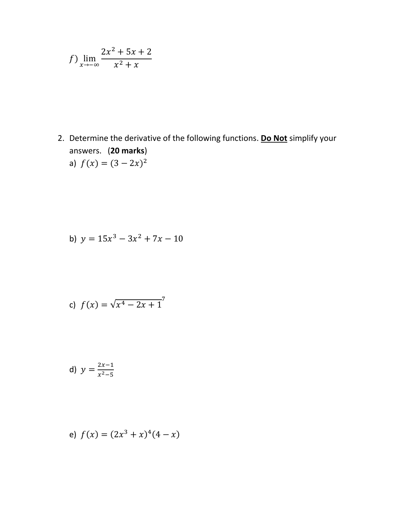$$
f)
$$
  $\lim_{x \to -\infty} \frac{2x^2 + 5x + 2}{x^2 + x}$ 

2. Determine the derivative of the following functions. Do Not simplify your answers. (20 marks) a)  $f(x) = (3 - 2x)^2$ 

b) 
$$
y = 15x^3 - 3x^2 + 7x - 10
$$

c) 
$$
f(x) = \sqrt{x^4 - 2x + 1}
$$
<sup>7</sup>

d) 
$$
y = \frac{2x-1}{x^2-5}
$$

e) 
$$
f(x) = (2x^3 + x)^4(4 - x)
$$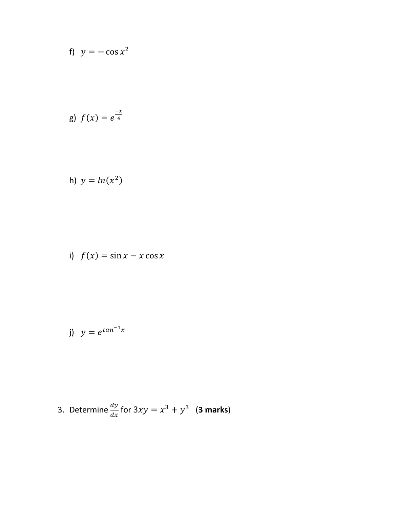f) 
$$
y = -\cos x^2
$$

g) 
$$
f(x) = e^{\frac{-x}{4}}
$$

h) 
$$
y = ln(x^2)
$$

i) 
$$
f(x) = \sin x - x \cos x
$$

j) 
$$
y = e^{\tan^{-1}x}
$$

3. Determine 
$$
\frac{dy}{dx}
$$
 for  $3xy = x^3 + y^3$  (3 marks)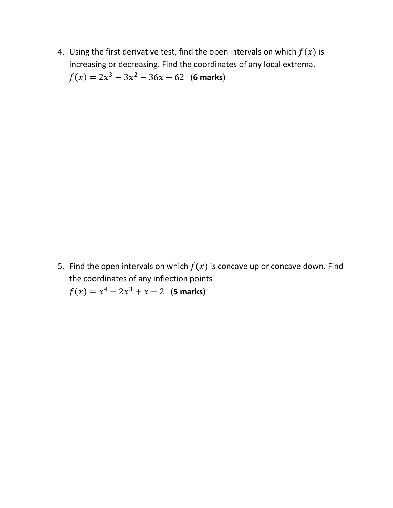4. Using the first derivative test, find the open intervals on which  $f(x)$  is increasing or decreasing. Find the coordinates of any local extrema.  $f(x) = 2x^3 - 3x^2 - 36x + 62$  (6 marks)

5. Find the open intervals on which  $f(x)$  is concave up or concave down. Find the coordinates of any inflection points  $f(x) = x^4 - 2x^3 + x - 2$  (5 marks)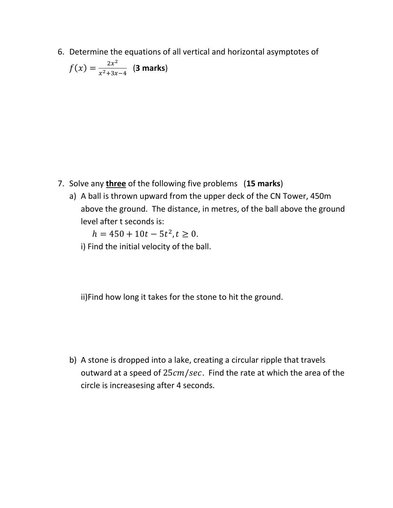6. Determine the equations of all vertical and horizontal asymptotes of

$$
f(x) = \frac{2x^2}{x^2 + 3x - 4}
$$
 (3 marks)

- 7. Solve any **three** of the following five problems (**15 marks**)
	- a) A ball is thrown upward from the upper deck of the CN Tower, 450m above the ground. The distance, in metres, of the ball above the ground level after t seconds is:

 $h = 450 + 10t - 5t^2, t \ge 0.$ 

i) Find the initial velocity of the ball.

ii)Find how long it takes for the stone to hit the ground.

b) A stone is dropped into a lake, creating a circular ripple that travels outward at a speed of  $25cm/sec$ . Find the rate at which the area of the circle is increasesing after 4 seconds.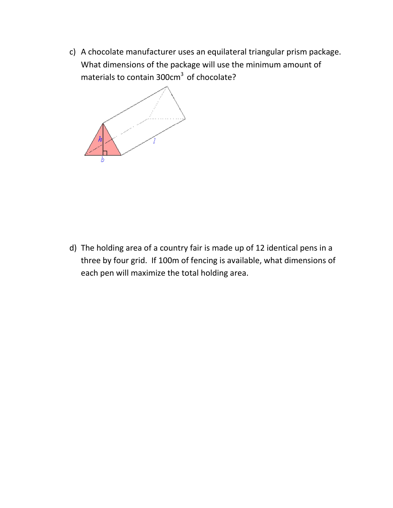c) A chocolate manufacturer uses an equilateral triangular prism package. What dimensions of the package will use the minimum amount of materials to contain  $300 \text{cm}^3$  of chocolate?



d) The holding area of a country fair is made up of 12 identical pens in a three by four grid. If 100m of fencing is available, what dimensions of each pen will maximize the total holding area.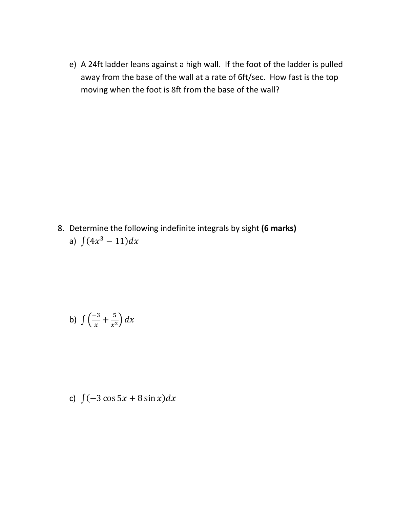e) A 24ft ladder leans against a high wall. If the foot of the ladder is pulled away from the base of the wall at a rate of 6ft/sec. How fast is the top moving when the foot is 8ft from the base of the wall?

8. Determine the following indefinite integrals by sight **(6 marks)** a)  $\int (4x^3 - 11) dx$ 

b) 
$$
\int \left(\frac{-3}{x} + \frac{5}{x^2}\right) dx
$$

c)  $\int (-3 \cos 5x + 8 \sin x) dx$